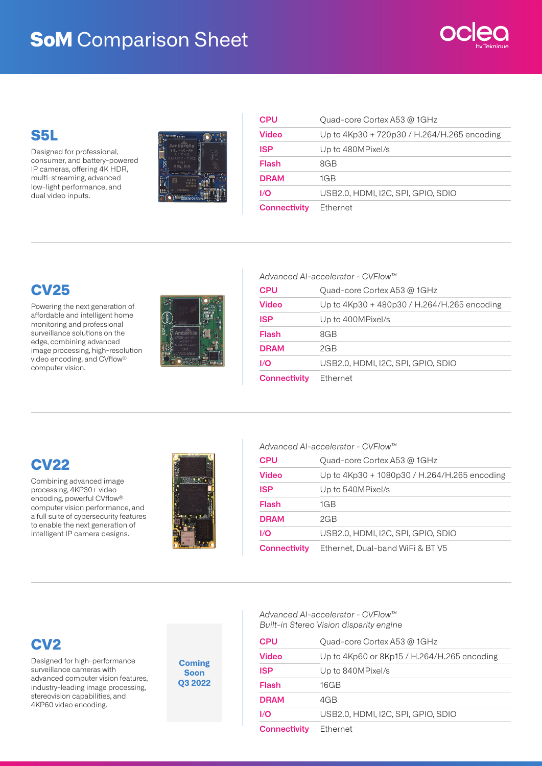# **SoM** Comparison Sheet



### **S5L**

Designed for professional, consumer, and battery-powered IP cameras, offering 4K HDR, multi-streaming, advanced low-light performance, and dual video inputs.



| <b>CPU</b>          | Quad-core Cortex A53 @ 1GHz                 |
|---------------------|---------------------------------------------|
| <b>Video</b>        | Up to 4Kp30 + 720p30 / H.264/H.265 encoding |
| <b>ISP</b>          | Up to 480MPixel/s                           |
| Flash               | 8GB                                         |
| <b>DRAM</b>         | 1GB                                         |
| 1/O                 | USB2.0, HDMI, I2C, SPI, GPIO, SDIO          |
| <b>Connectivity</b> | Ethernet                                    |

## **CV25**

Powering the next generation of affordable and intelligent home monitoring and professional surveillance solutions on the edge, combining advanced image processing, high-resolution video encoding, and CVflow®️ computer vision.



| Advanced Al-accelerator - CVFlow™ |                                             |  |
|-----------------------------------|---------------------------------------------|--|
| <b>CPU</b>                        | Quad-core Cortex A53 @ 1GHz                 |  |
| <b>Video</b>                      | Up to 4Kp30 + 480p30 / H.264/H.265 encoding |  |
| <b>ISP</b>                        | Up to 400MPixel/s                           |  |
| Flash                             | 8GB                                         |  |
| <b>DRAM</b>                       | 2GB                                         |  |
| 1/O                               | USB2.0, HDMI, I2C, SPI, GPIO, SDIO          |  |
| <b>Connectivity</b>               | <b>Ethernet</b>                             |  |

# **CV22**

Combining advanced image processing, 4KP30+ video encoding, powerful CVflow® computer vision performance, and a full suite of cybersecurity features to enable the next generation of intelligent IP camera designs.



| Advanced Al-accelerator - CVFlow™ |                                              |  |
|-----------------------------------|----------------------------------------------|--|
| CPU                               | Quad-core Cortex A53 @ 1GHz                  |  |
| Video                             | Up to 4Kp30 + 1080p30 / H.264/H.265 encoding |  |
| <b>ISP</b>                        | Up to 540MPixel/s                            |  |
| Flash                             | 1GB                                          |  |
| <b>DRAM</b>                       | 2GB                                          |  |
| I/O                               | USB2.0. HDMI. 12C. SPI. GPIO. SDIO           |  |
| <b>Connectivity</b>               | Ethernet, Dual-band WiFi & BT V5             |  |

### **CV2**

Designed for high-performance surveillance cameras with advanced computer vision features, industry-leading image processing, stereovision capabilities, and 4KP60 video encoding.

**Coming Soon Q3 2022** *Advanced AI-accelerator - CVFlow™ Built-in Stereo Vision disparity engine*

| <b>CPU</b>          | Quad-core Cortex A53 @ 1GHz                 |
|---------------------|---------------------------------------------|
| Video               | Up to 4Kp60 or 8Kp15 / H.264/H.265 encoding |
| <b>ISP</b>          | Up to 840MPixel/s                           |
| Flash               | 16GB                                        |
| <b>DRAM</b>         | 4GB                                         |
| 1/O                 | USB2.0. HDMI. 12C. SPI. GPIO. SDIO          |
| <b>Connectivity</b> | Ethernet                                    |